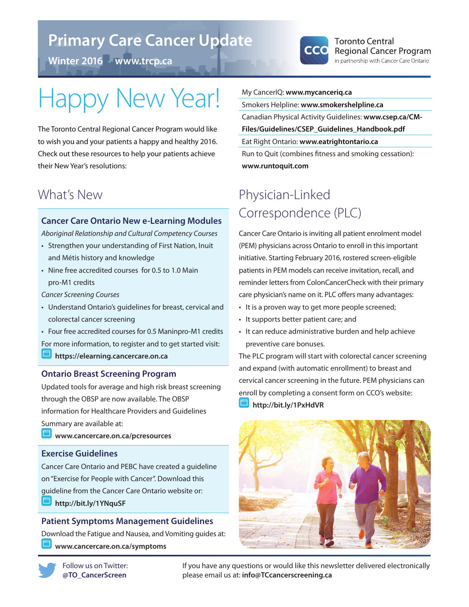## **Primary Care Cancer Update**

**Winter 2016** • **www.trcp.ca**



# Happy New Year!

The Toronto Central Regional Cancer Program would like to wish you and your patients a happy and healthy 2016. Check out these resources to help your patients achieve their New Year's resolutions:

### What's New

#### **Cancer Care Ontario New e-Learning Modules**

*Aboriginal Relationship and Cultural Competency Courses* 

- Strengthen your understanding of First Nation, Inuit and Métis history and knowledge
- Nine free accredited courses for 0.5 to 1.0 Main pro-M1 credits

*Cancer Screening Courses*

- Understand Ontario's guidelines for breast, cervical and colorectal cancer screening
- Four free accredited courses for 0.5 Maninpro-M1 credits

For more information, to register and to get started visit:

**https://elearning.cancercare.on.ca**

#### **Ontario Breast Screening Program**

Updated tools for average and high risk breast screening through the OBSP are now available. The OBSP information for Healthcare Providers and Guidelines Summary are available at:

**www.cancercare.on.ca/pcresources**

#### **Exercise Guidelines**

Cancer Care Ontario and PEBC have created a guideline on "Exercise for People with Cancer". Download this guideline from the Cancer Care Ontario website or: **http://bit.ly/1YNquSF**

#### **Patient Symptoms Management Guidelines** Download the Fatigue and Nausea, and Vomiting guides at: **www.cancercare.on.ca/symptoms**



#### My CancerIQ: **www.mycanceriq.ca**

Smokers Helpline: **www.smokershelpline.ca** Canadian Physical Activity Guidelines: **www.csep.ca/CM-Files/Guidelines/CSEP\_Guidelines\_Handbook.pdf** Eat Right Ontario: **www.eatrightontario.ca**

Run to Quit (combines fitness and smoking cessation): **www.runtoquit.com**

## Physician-Linked Correspondence (PLC)

Cancer Care Ontario is inviting all patient enrolment model (PEM) physicians across Ontario to enroll in this important initiative. Starting February 2016, rostered screen-eligible patients in PEM models can receive invitation, recall, and reminder letters from ColonCancerCheck with their primary care physician's name on it. PLC offers many advantages:

- It is a proven way to get more people screened;
- It supports better patient care; and
- It can reduce administrative burden and help achieve preventive care bonuses.

The PLC program will start with colorectal cancer screening and expand (with automatic enrollment) to breast and cervical cancer screening in the future. PEM physicians can enroll by completing a consent form on CCO's website: **http://bit.ly/1PxHdVR**



If you have any questions or would like this newsletter delivered electronically please email us at: **info@TCcancerscreening.ca**